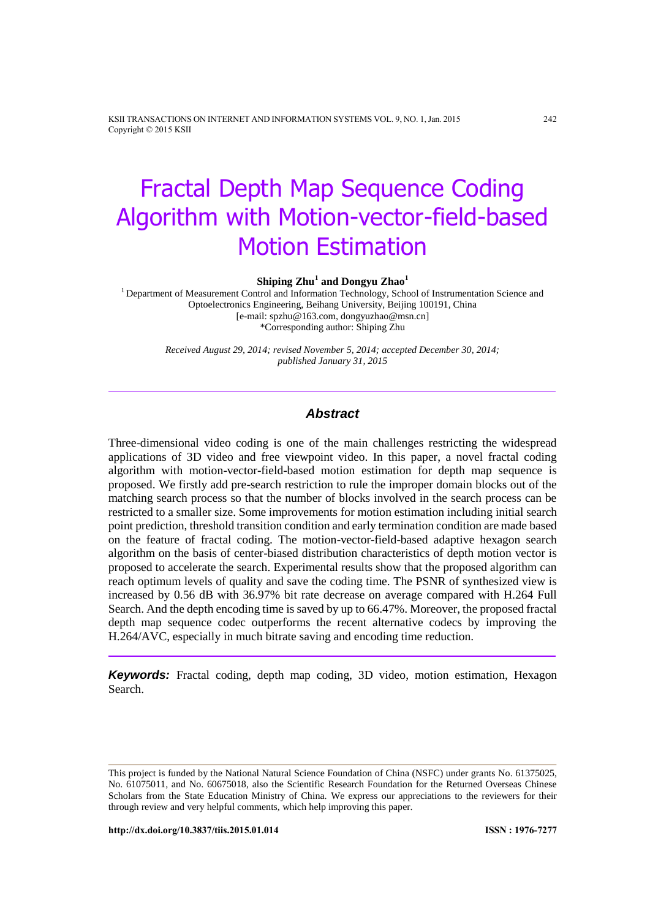KSII TRANSACTIONS ON INTERNET AND INFORMATION SYSTEMS VOL. 9, NO. 1, Jan. 2015 242 Copyright © 2015 KSII

# Fractal Depth Map Sequence Coding Algorithm with Motion-vector-field-based Motion Estimation

**Shiping Zhu<sup>1</sup> and Dongyu Zhao<sup>1</sup>**

<sup>1</sup> Department of Measurement Control and Information Technology, School of Instrumentation Science and Optoelectronics Engineering, Beihang University, Beijing 100191, China [e-mail: spzhu@163.com, dongyuzhao@msn.cn] \*Corresponding author: Shiping Zhu

> *Received August 29, 2014; revised November 5, 2014; accepted December 30, 2014; published January 31, 2015*

# *Abstract*

Three-dimensional video coding is one of the main challenges restricting the widespread applications of 3D video and free viewpoint video. In this paper, a novel fractal coding algorithm with motion-vector-field-based motion estimation for depth map sequence is proposed. We firstly add pre-search restriction to rule the improper domain blocks out of the matching search process so that the number of blocks involved in the search process can be restricted to a smaller size. Some improvements for motion estimation including initial search point prediction, threshold transition condition and early termination condition are made based on the feature of fractal coding. The motion-vector-field-based adaptive hexagon search algorithm on the basis of center-biased distribution characteristics of depth motion vector is proposed to accelerate the search. Experimental results show that the proposed algorithm can reach optimum levels of quality and save the coding time. The PSNR of synthesized view is increased by 0.56 dB with 36.97% bit rate decrease on average compared with H.264 Full Search. And the depth encoding time is saved by up to 66.47%. Moreover, the proposed fractal depth map sequence codec outperforms the recent alternative codecs by improving the H.264/AVC, especially in much bitrate saving and encoding time reduction.

*Keywords:* Fractal coding, depth map coding, 3D video, motion estimation, Hexagon Search.

This project is funded by the National Natural Science Foundation of China (NSFC) under grants No. 61375025, No. 61075011, and No. 60675018, also the Scientific Research Foundation for the Returned Overseas Chinese Scholars from the State Education Ministry of China. We express our appreciations to the reviewers for their through review and very helpful comments, which help improving this paper.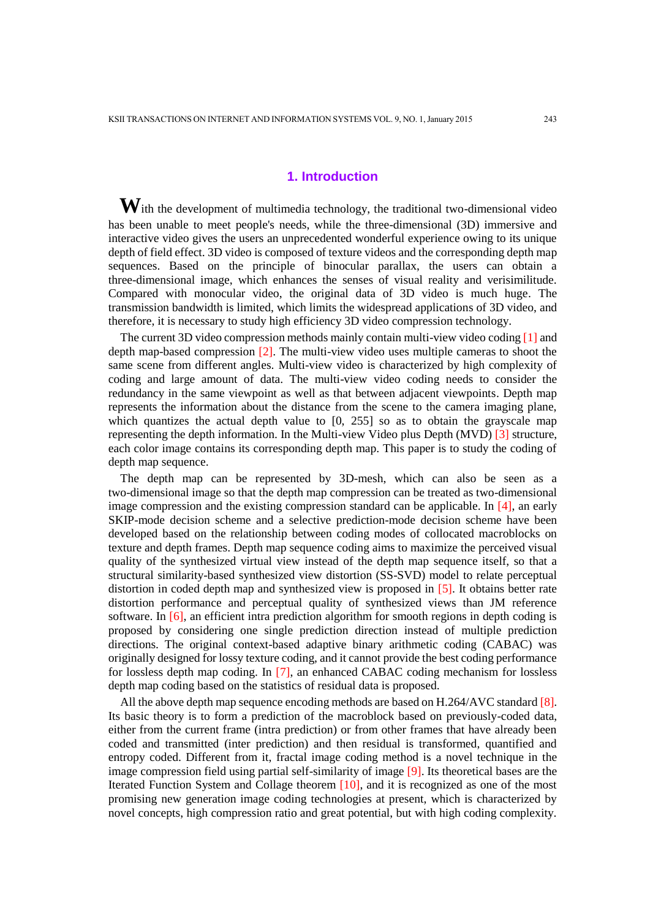# **1. Introduction**

With the development of multimedia technology, the traditional two-dimensional video has been unable to meet people's needs, while the three-dimensional (3D) immersive and interactive video gives the users an unprecedented wonderful experience owing to its unique depth of field effect. 3D video is composed of texture videos and the corresponding depth map sequences. Based on the principle of binocular parallax, the users can obtain a three-dimensional image, which enhances the senses of visual reality and verisimilitude. Compared with monocular video, the original data of 3D video is much huge. The transmission bandwidth is limited, which limits the widespread applications of 3D video, and therefore, it is necessary to study high efficiency 3D video compression technology.

The current 3D video compression methods mainly contain multi-view video coding [1] and depth map-based compression [2]. The multi-view video uses multiple cameras to shoot the same scene from different angles. Multi-view video is characterized by high complexity of coding and large amount of data. The multi-view video coding needs to consider the redundancy in the same viewpoint as well as that between adjacent viewpoints. Depth map represents the information about the distance from the scene to the camera imaging plane, which quantizes the actual depth value to [0, 255] so as to obtain the grayscale map representing the depth information. In the Multi-view Video plus Depth (MVD) [3] structure, each color image contains its corresponding depth map. This paper is to study the coding of depth map sequence.

The depth map can be represented by 3D-mesh, which can also be seen as a two-dimensional image so that the depth map compression can be treated as two-dimensional image compression and the existing compression standard can be applicable. In  $[4]$ , an early SKIP-mode decision scheme and a selective prediction-mode decision scheme have been developed based on the relationship between coding modes of collocated macroblocks on texture and depth frames. Depth map sequence coding aims to maximize the perceived visual quality of the synthesized virtual view instead of the depth map sequence itself, so that a structural similarity-based synthesized view distortion (SS-SVD) model to relate perceptual distortion in coded depth map and synthesized view is proposed in [5]. It obtains better rate distortion performance and perceptual quality of synthesized views than JM reference software. In [6], an efficient intra prediction algorithm for smooth regions in depth coding is proposed by considering one single prediction direction instead of multiple prediction directions. The original context-based adaptive binary arithmetic coding (CABAC) was originally designed for lossy texture coding, and it cannot provide the best coding performance for lossless depth map coding. In [7], an enhanced CABAC coding mechanism for lossless depth map coding based on the statistics of residual data is proposed.

All the above depth map sequence encoding methods are based on H.264/AVC standard [8]. Its basic theory is to form a prediction of the macroblock based on previously-coded data, either from the current frame (intra prediction) or from other frames that have already been coded and transmitted (inter prediction) and then residual is transformed, quantified and entropy coded. Different from it, fractal image coding method is a novel technique in the image compression field using partial self-similarity of image [9]. Its theoretical bases are the Iterated Function System and Collage theorem [10], and it is recognized as one of the most promising new generation image coding technologies at present, which is characterized by novel concepts, high compression ratio and great potential, but with high coding complexity.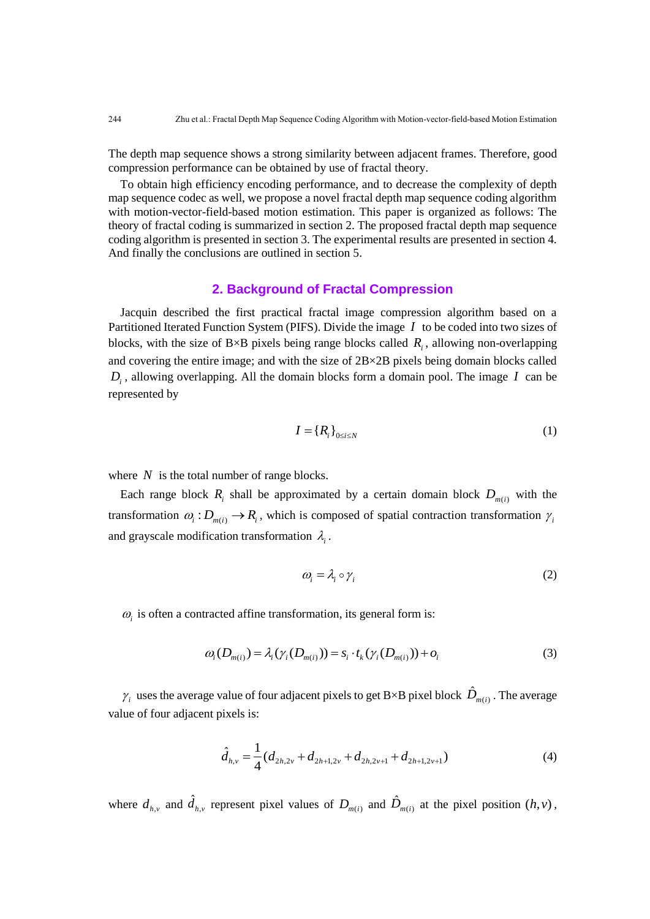The depth map sequence shows a strong similarity between adjacent frames. Therefore, good compression performance can be obtained by use of fractal theory.

To obtain high efficiency encoding performance, and to decrease the complexity of depth map sequence codec as well, we propose a novel fractal depth map sequence coding algorithm with motion-vector-field-based motion estimation. This paper is organized as follows: The theory of fractal coding is summarized in section 2. The proposed fractal depth map sequence coding algorithm is presented in section 3. The experimental results are presented in section 4. And finally the conclusions are outlined in section 5.

## **2. Background of Fractal Compression**

Jacquin described the first practical fractal image compression algorithm based on a Partitioned Iterated Function System (PIFS). Divide the image *I* to be coded into two sizes of blocks, with the size of  $B \times B$  pixels being range blocks called  $R_i$ , allowing non-overlapping and covering the entire image; and with the size of 2B×2B pixels being domain blocks called  $D_i$ , allowing overlapping. All the domain blocks form a domain pool. The image  $I$  can be represented by

$$
I = \{R_i\}_{0 \le i \le N} \tag{1}
$$

where  $N$  is the total number of range blocks.

Each range block  $R_i$  shall be approximated by a certain domain block  $D_{m(i)}$  with the transformation  $\omega_i : D_{m(i)} \to R_i$ , which is composed of spatial contraction transformation  $\gamma_i$ and grayscale modification transformation  $\lambda_i$ .

$$
\omega_i = \lambda_i \circ \gamma_i \tag{2}
$$

 $\omega_i$  is often a contracted affine transformation, its general form is:

$$
\omega_i(D_{m(i)}) = \lambda_i(\gamma_i(D_{m(i)})) = s_i \cdot t_k(\gamma_i(D_{m(i)})) + o_i
$$
\n(3)

 $\gamma_i$  uses the average value of four adjacent pixels to get B×B pixel block  $\hat{D}_{m(i)}$ . The average value of four adjacent pixels is:

$$
\hat{d}_{h,v} = \frac{1}{4} (d_{2h,2v} + d_{2h+1,2v} + d_{2h,2v+1} + d_{2h+1,2v+1})
$$
\n(4)

where  $d_{h,\nu}$  and  $\hat{d}_{h,\nu}$  represent pixel values of  $D_{m(i)}$  and  $\hat{D}_{m(i)}$  at the pixel position  $(h,\nu)$ ,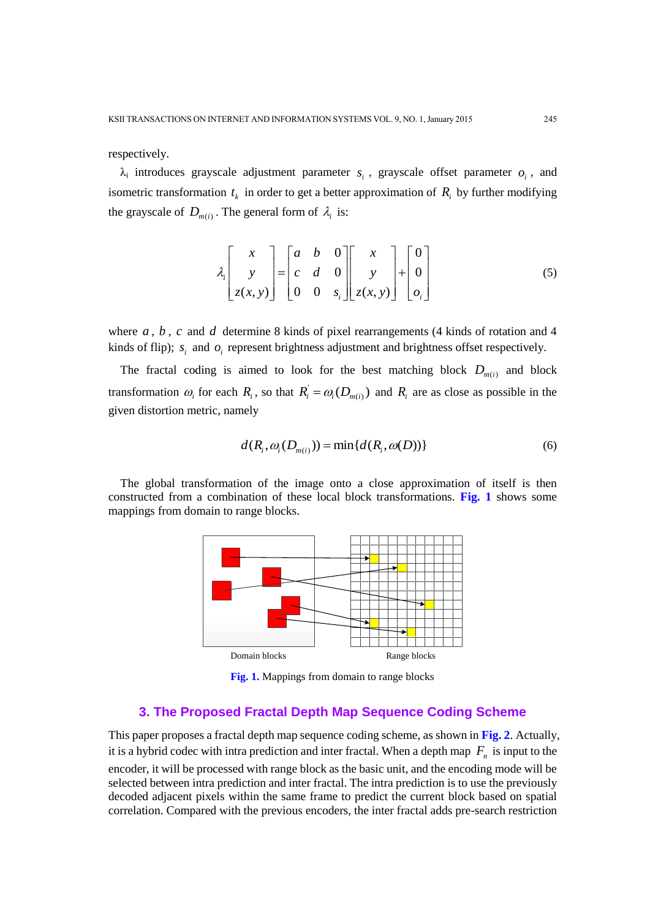respectively.

 $\lambda_i$  introduces grayscale adjustment parameter  $s_i$ , grayscale offset parameter  $o_i$ , and isometric transformation  $t_k$  in order to get a better approximation of  $R_i$  by further modifying the grayscale of  $D_{m(i)}$ . The general form of  $\lambda_i$  is:

$$
\lambda_i \begin{bmatrix} x \\ y \\ z(x, y) \end{bmatrix} = \begin{bmatrix} a & b & 0 \\ c & d & 0 \\ 0 & 0 & s_i \end{bmatrix} \begin{bmatrix} x \\ y \\ z(x, y) \end{bmatrix} + \begin{bmatrix} 0 \\ 0 \\ o_i \end{bmatrix}
$$
 (5)

where  $a$ ,  $b$ ,  $c$  and  $d$  determine 8 kinds of pixel rearrangements (4 kinds of rotation and 4 kinds of flip);  $s_i$  and  $o_i$  represent brightness adjustment and brightness offset respectively.

The fractal coding is aimed to look for the best matching block  $D_{m(i)}$  and block transformation  $\omega_i$  for each  $R_i$ , so that  $R_i = \omega_i(D_{m(i)})$  and  $R_i$  are as close as possible in the given distortion metric, namely

$$
d(Ri, \omegai(Dm(i))) = min{d(Ri, \omega(D))}
$$
\n(6)

The global transformation of the image onto a close approximation of itself is then constructed from a combination of these local block transformations. **Fig. 1** shows some mappings from domain to range blocks.



**Fig. 1.** Mappings from domain to range blocks

# **3. The Proposed Fractal Depth Map Sequence Coding Scheme**

This paper proposes a fractal depth map sequence coding scheme, as shown in **Fig. 2**. Actually, it is a hybrid codec with intra prediction and inter fractal. When a depth map  $F_n$  is input to the encoder, it will be processed with range block as the basic unit, and the encoding mode will be selected between intra prediction and inter fractal. The intra prediction is to use the previously decoded adjacent pixels within the same frame to predict the current block based on spatial correlation. Compared with the previous encoders, the inter fractal adds pre-search restriction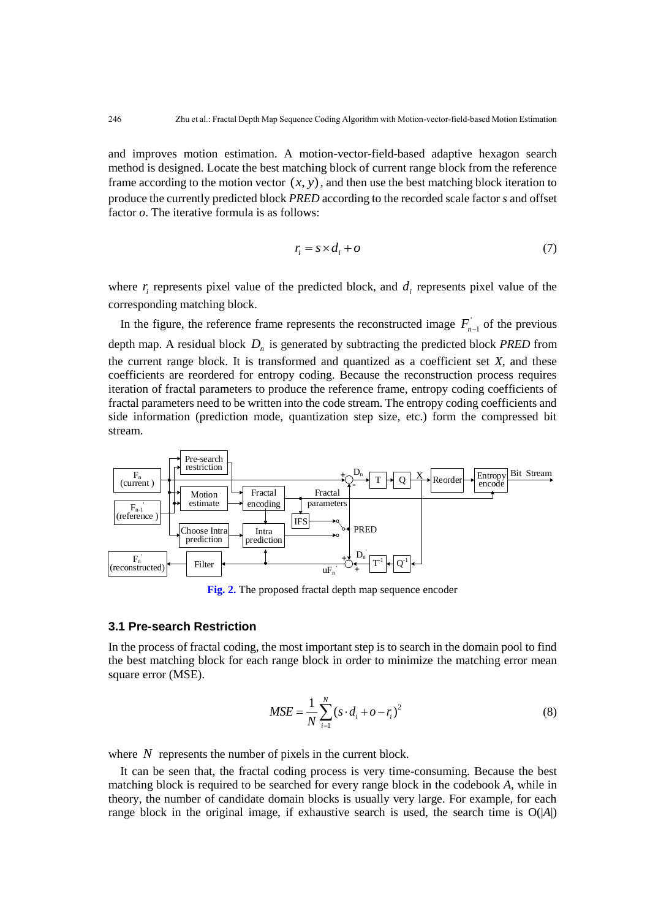and improves motion estimation. A motion-vector-field-based adaptive hexagon search method is designed. Locate the best matching block of current range block from the reference frame according to the motion vector  $(x, y)$ , and then use the best matching block iteration to produce the currently predicted block *PRED* according to the recorded scale factor *s* and offset factor *o*. The iterative formula is as follows:

$$
r_i = s \times d_i + o \tag{7}
$$

where  $r_i$  represents pixel value of the predicted block, and  $d_i$  represents pixel value of the corresponding matching block.

In the figure, the reference frame represents the reconstructed image  $F_{n-1}$  of the previous depth map. A residual block *D n* is generated by subtracting the predicted block *PRED* from the current range block. It is transformed and quantized as a coefficient set *X*, and these coefficients are reordered for entropy coding. Because the reconstruction process requires iteration of fractal parameters to produce the reference frame, entropy coding coefficients of fractal parameters need to be written into the code stream. The entropy coding coefficients and side information (prediction mode, quantization step size, etc.) form the compressed bit stream.



**Fig. 2.** The proposed fractal depth map sequence encoder

## **3.1 Pre-search Restriction**

In the process of fractal coding, the most important step is to search in the domain pool to find the best matching block for each range block in order to minimize the matching error mean square error (MSE).

$$
MSE = \frac{1}{N} \sum_{i=1}^{N} (s \cdot d_i + o - r_i)^2
$$
 (8)

where  $N$  represents the number of pixels in the current block.

It can be seen that, the fractal coding process is very time-consuming. Because the best matching block is required to be searched for every range block in the codebook *A*, while in theory, the number of candidate domain blocks is usually very large. For example, for each range block in the original image, if exhaustive search is used, the search time is  $O(|A|)$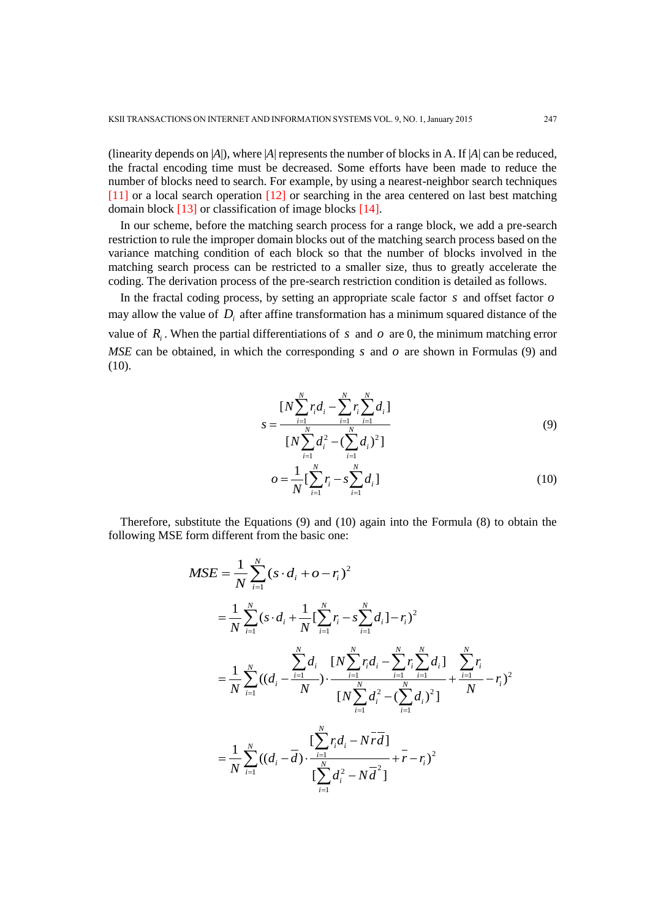(linearity depends on |*A*|), where |*A*| represents the number of blocks in A. If |*A*| can be reduced, the fractal encoding time must be decreased. Some efforts have been made to reduce the number of blocks need to search. For example, by using a nearest-neighbor search techniques [11] or a local search operation [12] or searching in the area centered on last best matching domain block [13] or classification of image blocks [14].

In our scheme, before the matching search process for a range block, we add a pre-search restriction to rule the improper domain blocks out of the matching search process based on the variance matching condition of each block so that the number of blocks involved in the matching search process can be restricted to a smaller size, thus to greatly accelerate the coding. The derivation process of the pre-search restriction condition is detailed as follows.

In the fractal coding process, by setting an appropriate scale factor *s* and offset factor *o* may allow the value of  $D_i$  after affine transformation has a minimum squared distance of the value of  $R_i$ . When the partial differentiations of s and o are 0, the minimum matching error  $MSE$  can be obtained, in which the corresponding s and  $o$  are shown in Formulas (9) and (10).

$$
s = \frac{[N\sum_{i=1}^{N} r_i d_i - \sum_{i=1}^{N} r_i \sum_{i=1}^{N} d_i]}{[N\sum_{i=1}^{N} d_i^2 - (\sum_{i=1}^{N} d_i)^2]}
$$
(9)

$$
o = \frac{1}{N} \left[ \sum_{i=1}^{N} r_i - s \sum_{i=1}^{N} d_i \right]
$$
 (10)

Therefore, substitute the Equations (9) and (10) again into the Formula (8) to obtain the following MSE form different from the basic one:

$$
MSE = \frac{1}{N} \sum_{i=1}^{N} (s \cdot d_i + o - r_i)^2
$$
  
\n
$$
= \frac{1}{N} \sum_{i=1}^{N} (s \cdot d_i + \frac{1}{N} [\sum_{i=1}^{N} r_i - s \sum_{i=1}^{N} d_i] - r_i)^2
$$
  
\n
$$
= \frac{1}{N} \sum_{i=1}^{N} ((d_i - \frac{\sum_{i=1}^{N} d_i}{N}) \cdot \frac{[N \sum_{i=1}^{N} r_i d_i - \sum_{i=1}^{N} r_i \sum_{i=1}^{N} d_i]}{[N \sum_{i=1}^{N} d_i^2 - (\sum_{i=1}^{N} d_i)^2]} + \frac{\sum_{i=1}^{N} r_i}{N} - r_i)^2
$$
  
\n
$$
= \frac{1}{N} \sum_{i=1}^{N} ((d_i - \overline{d}) \cdot \frac{\sum_{i=1}^{N} r_i d_i - N \overline{r} d_i}{[\sum_{i=1}^{N} d_i^2 - N \overline{d}^2]} + \overline{r} - r_i)^2
$$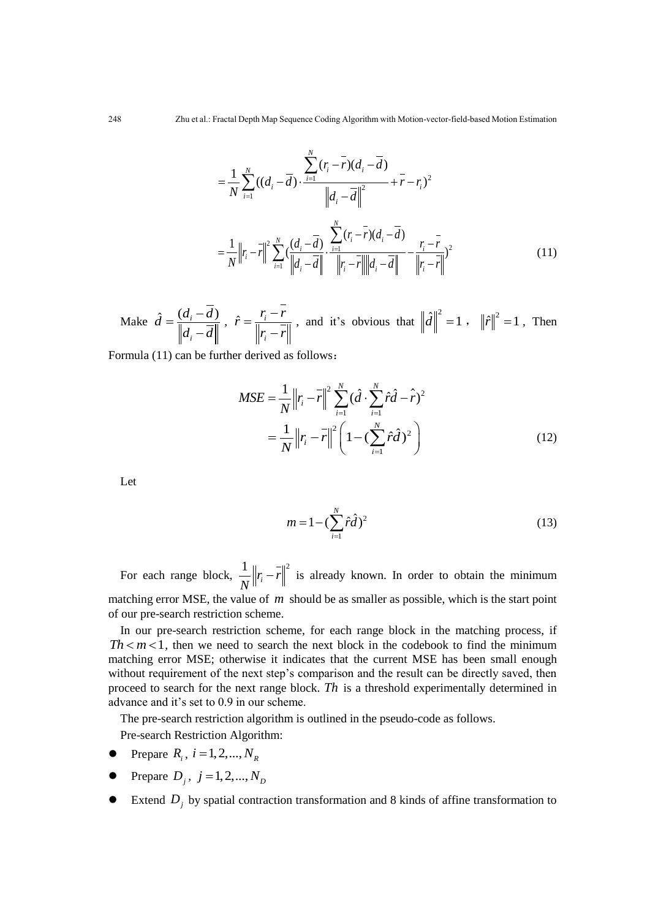$$
= \frac{1}{N} \sum_{i=1}^{N} ((d_i - \overline{d}) \cdot \frac{\sum_{i=1}^{N} (r_i - \overline{r})(d_i - \overline{d})}{\left\| d_i - \overline{d} \right\|^2} + \overline{r} - r_i)^2
$$
  

$$
= \frac{1}{N} \left\| r_i - \overline{r} \right\|^2 \sum_{i=1}^{N} (\frac{(d_i - \overline{d})}{\left\| d_i - \overline{d} \right\|} \cdot \frac{\sum_{i=1}^{N} (r_i - \overline{r})(d_i - \overline{d})}{\left\| r_i - \overline{r} \right\| \left\| d_i - \overline{d} \right\|} - \frac{r_i - \overline{r}}{\left\| r_i - \overline{r} \right\|} )^2
$$
(11)

Make  $\hat{d} = \frac{(d_i - d)}{n}$ *i*  $\hat{d} = \frac{(d_i - d_i)}{d_i}$  $d_i - d$  $=\frac{(d_i - )}{\Box}$  $\overline{a}$  $\hat{r} = \frac{r_i}{\ln r}$ *i*  $\hat{r} = \frac{r_i - r}{\left\| r_i - r \right\|}$ -, and it's obvious that  $\|\hat{d}\|^2 = 1$ ,  $\|\hat{r}\|^2 = 1$ , Then

Formula (11) can be further derived as follows:

$$
MSE = \frac{1}{N} ||r_i - \bar{r}||^2 \sum_{i=1}^{N} (\hat{d} \cdot \sum_{i=1}^{N} \hat{r}\hat{d} - \hat{r})^2
$$
  
= 
$$
\frac{1}{N} ||r_i - \bar{r}||^2 \left(1 - (\sum_{i=1}^{N} \hat{r}\hat{d})^2\right)
$$
(12)

Let

$$
m = 1 - (\sum_{i=1}^{N} \hat{r}\hat{d})^2
$$
 (13)

For each range block,  $\frac{1}{\sqrt{r}} ||r_i - r||^2$  $r_i - r$ *N*  $\|r\|$  is already known. In order to obtain the minimum matching error MSE, the value of m should be as smaller as possible, which is the start point of our pre-search restriction scheme.

In our pre-search restriction scheme, for each range block in the matching process, if  $Th < m < 1$ , then we need to search the next block in the codebook to find the minimum matching error MSE; otherwise it indicates that the current MSE has been small enough without requirement of the next step's comparison and the result can be directly saved, then proceed to search for the next range block. *Th* is a threshold experimentally determined in advance and it's set to 0.9 in our scheme.

The pre-search restriction algorithm is outlined in the pseudo-code as follows.

Pre-search Restriction Algorithm:

- Prepare  $R_i$ ,  $i = 1, 2, ..., N_R$
- Prepare  $D_j$ ,  $j = 1, 2, ..., N_D$
- Extend  $D_j$  by spatial contraction transformation and 8 kinds of affine transformation to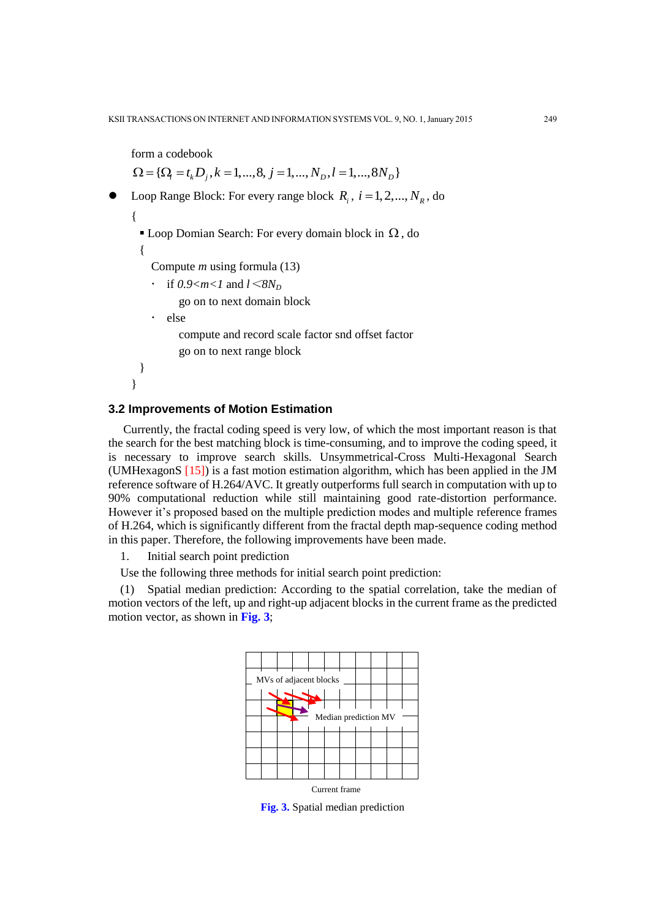```
form a codebook 
{\Omega} = {\Omega} = {t, D_i, k = 1, ..., 8, j = 1, ..., N_D, l = 1, ..., 8N_D}• Loop Range Block: For every range block R_i, i = 1, 2, ..., N_R, do
{
  \blacksquare Loop Domian Search: For every domain block in \Omega, do
 {
    Compute m using formula (13)
    \cdot if 0.9<m<l and l < 8N_Dgo on to next domain block
    · else
          compute and record scale factor snd offset factor
          go on to next range block
 }
}
```
#### **3.2 Improvements of Motion Estimation**

Currently, the fractal coding speed is very low, of which the most important reason is that the search for the best matching block is time-consuming, and to improve the coding speed, it is necessary to improve search skills. Unsymmetrical-Cross Multi-Hexagonal Search (UMHexagonS [15]) is a fast motion estimation algorithm, which has been applied in the JM reference software of H.264/AVC. It greatly outperforms full search in computation with up to 90% computational reduction while still maintaining good rate-distortion performance. However it's proposed based on the multiple prediction modes and multiple reference frames of H.264, which is significantly different from the fractal depth map-sequence coding method in this paper. Therefore, the following improvements have been made.

1. Initial search point prediction

Use the following three methods for initial search point prediction:

(1) Spatial median prediction: According to the spatial correlation, take the median of motion vectors of the left, up and right-up adjacent blocks in the current frame as the predicted motion vector, as shown in **Fig. 3**;



**Fig. 3.** Spatial median prediction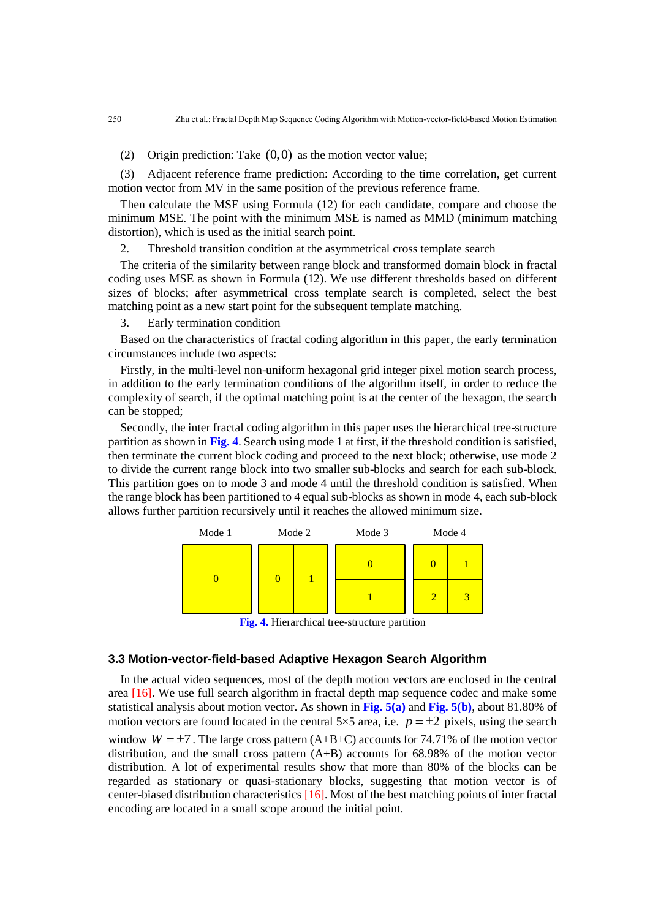(2) Origin prediction: Take  $(0,0)$  as the motion vector value;

(3) Adjacent reference frame prediction: According to the time correlation, get current motion vector from MV in the same position of the previous reference frame.

Then calculate the MSE using Formula (12) for each candidate, compare and choose the minimum MSE. The point with the minimum MSE is named as MMD (minimum matching distortion), which is used as the initial search point.

2. Threshold transition condition at the asymmetrical cross template search

The criteria of the similarity between range block and transformed domain block in fractal coding uses MSE as shown in Formula (12). We use different thresholds based on different sizes of blocks; after asymmetrical cross template search is completed, select the best matching point as a new start point for the subsequent template matching.

3. Early termination condition

Based on the characteristics of fractal coding algorithm in this paper, the early termination circumstances include two aspects:

Firstly, in the multi-level non-uniform hexagonal grid integer pixel motion search process, in addition to the early termination conditions of the algorithm itself, in order to reduce the complexity of search, if the optimal matching point is at the center of the hexagon, the search can be stopped;

Secondly, the inter fractal coding algorithm in this paper uses the hierarchical tree-structure partition as shown in **Fig. 4**. Search using mode 1 at first, if the threshold condition is satisfied, then terminate the current block coding and proceed to the next block; otherwise, use mode 2 to divide the current range block into two smaller sub-blocks and search for each sub-block. This partition goes on to mode 3 and mode 4 until the threshold condition is satisfied. When the range block has been partitioned to 4 equal sub-blocks as shown in mode 4, each sub-block allows further partition recursively until it reaches the allowed minimum size.



**Fig. 4.** Hierarchical tree-structure partition

#### **3.3 Motion-vector-field-based Adaptive Hexagon Search Algorithm**

In the actual video sequences, most of the depth motion vectors are enclosed in the central area [16]. We use full search algorithm in fractal depth map sequence codec and make some statistical analysis about motion vector. As shown in **Fig. 5(a)** and **Fig. 5(b)**, about 81.80% of motion vectors are found located in the central  $5 \times 5$  area, i.e.  $p = \pm 2$  pixels, using the search window  $W = \pm 7$ . The large cross pattern (A+B+C) accounts for 74.71% of the motion vector distribution, and the small cross pattern (A+B) accounts for 68.98% of the motion vector distribution. A lot of experimental results show that more than 80% of the blocks can be regarded as stationary or quasi-stationary blocks, suggesting that motion vector is of center-biased distribution characteristics [16]. Most of the best matching points of inter fractal encoding are located in a small scope around the initial point.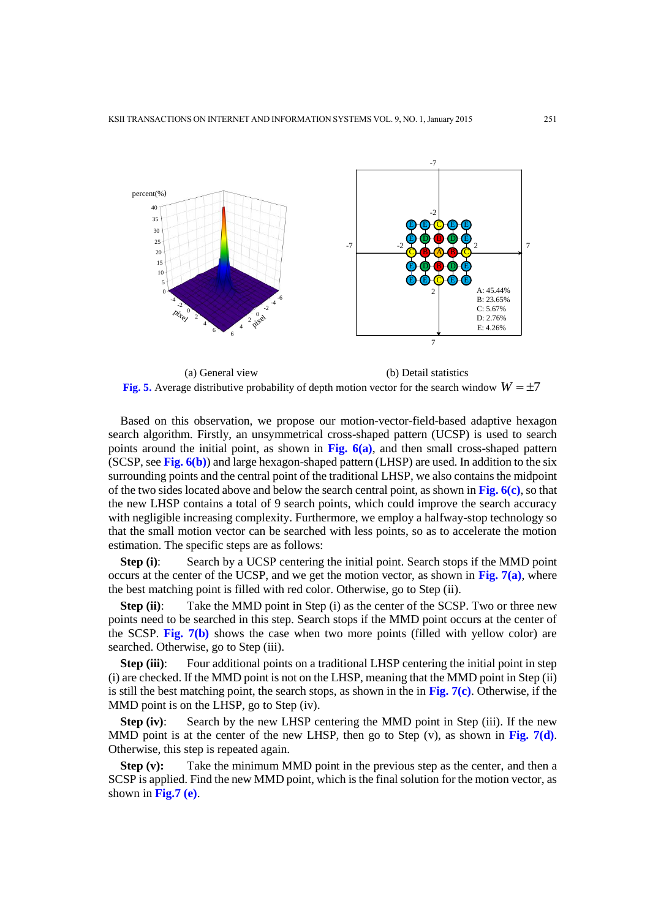

(a) General view (b) Detail statistics Fig. 5. Average distributive probability of depth motion vector for the search window  $W = \pm 7$ 

Based on this observation, we propose our motion-vector-field-based adaptive hexagon search algorithm. Firstly, an unsymmetrical cross-shaped pattern (UCSP) is used to search points around the initial point, as shown in **Fig. 6(a)**, and then small cross-shaped pattern (SCSP, see **Fig. 6(b)**) and large hexagon-shaped pattern (LHSP) are used. In addition to the six surrounding points and the central point of the traditional LHSP, we also contains the midpoint of the two sides located above and below the search central point, as shown in **Fig. 6(c)**, so that the new LHSP contains a total of 9 search points, which could improve the search accuracy with negligible increasing complexity. Furthermore, we employ a halfway-stop technology so that the small motion vector can be searched with less points, so as to accelerate the motion estimation. The specific steps are as follows:

**Step (i)**: Search by a UCSP centering the initial point. Search stops if the MMD point occurs at the center of the UCSP, and we get the motion vector, as shown in **Fig. 7(a)**, where the best matching point is filled with red color. Otherwise, go to Step (ii).

**Step (ii):** Take the MMD point in Step (i) as the center of the SCSP. Two or three new points need to be searched in this step. Search stops if the MMD point occurs at the center of the SCSP. **Fig. 7(b)** shows the case when two more points (filled with yellow color) are searched. Otherwise, go to Step (iii).

**Step (iii)**: Four additional points on a traditional LHSP centering the initial point in step (i) are checked. If the MMD point is not on the LHSP, meaning that the MMD point in Step (ii) is still the best matching point, the search stops, as shown in the in **Fig. 7(c)**. Otherwise, if the MMD point is on the LHSP, go to Step (iv).

**Step (iv)**: Search by the new LHSP centering the MMD point in Step (iii). If the new MMD point is at the center of the new LHSP, then go to Step (v), as shown in **Fig. 7(d)**. Otherwise, this step is repeated again.

**Step (v):** Take the minimum MMD point in the previous step as the center, and then a SCSP is applied. Find the new MMD point, which is the final solution for the motion vector, as shown in **Fig.7 (e)**.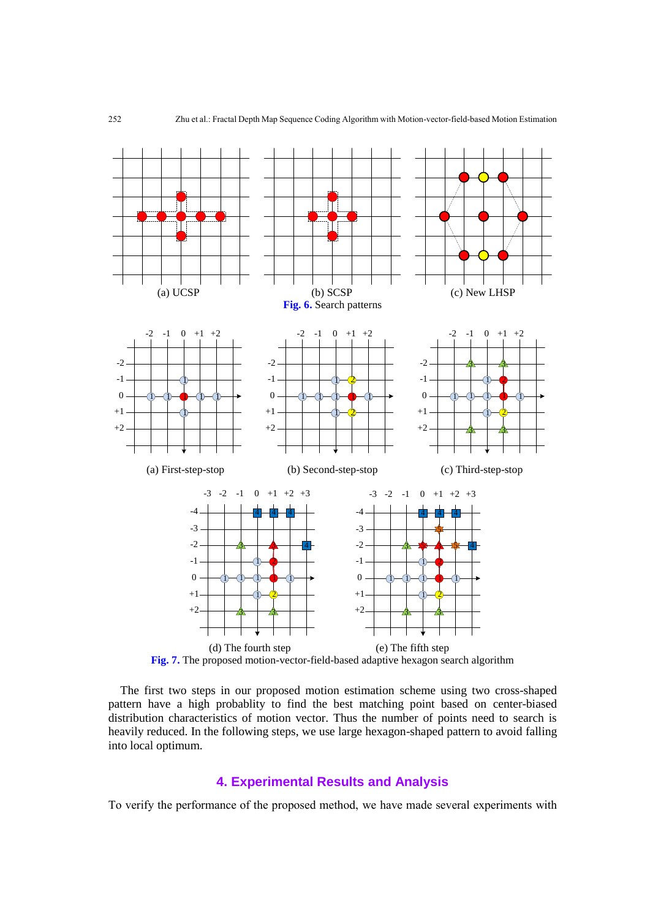

**Fig. 7.** The proposed motion-vector-field-based adaptive hexagon search algorithm

The first two steps in our proposed motion estimation scheme using two cross-shaped pattern have a high probablity to find the best matching point based on center-biased distribution characteristics of motion vector. Thus the number of points need to search is heavily reduced. In the following steps, we use large hexagon-shaped pattern to avoid falling into local optimum.

# **4. Experimental Results and Analysis**

To verify the performance of the proposed method, we have made several experiments with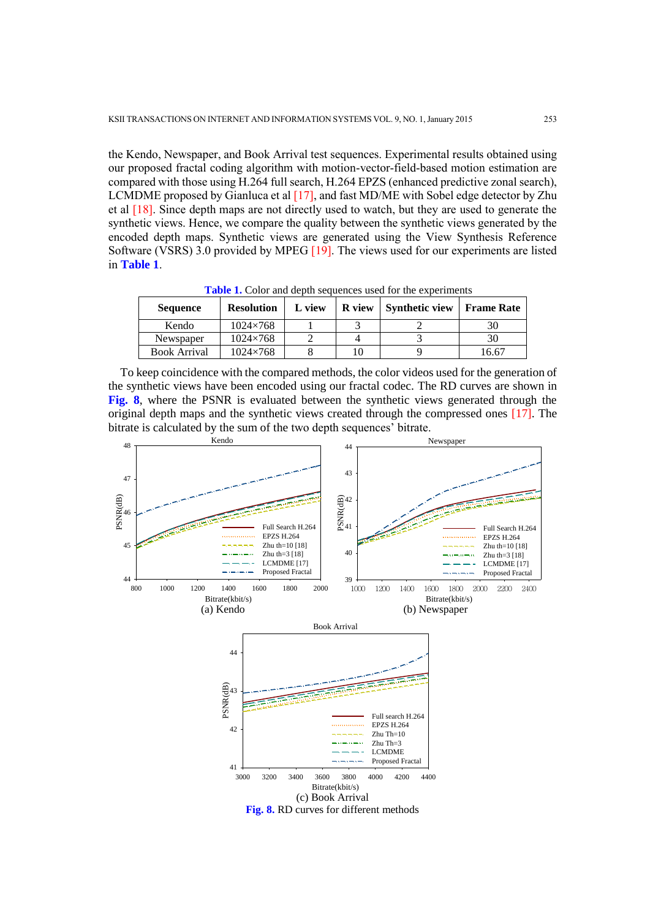the Kendo, Newspaper, and Book Arrival test sequences. Experimental results obtained using our proposed fractal coding algorithm with motion-vector-field-based motion estimation are compared with those using H.264 full search, H.264 EPZS (enhanced predictive zonal search), LCMDME proposed by Gianluca et al [17], and fast MD/ME with Sobel edge detector by Zhu et al [18]. Since depth maps are not directly used to watch, but they are used to generate the synthetic views. Hence, we compare the quality between the synthetic views generated by the encoded depth maps. Synthetic views are generated using the View Synthesis Reference Software (VSRS) 3.0 provided by MPEG [19]. The views used for our experiments are listed in **Table 1**.

| <b>Sequence</b>     | <b>Resolution</b> | L view | <b>R</b> view | <b>Synthetic view</b> | <b>Frame Rate</b> |
|---------------------|-------------------|--------|---------------|-----------------------|-------------------|
| Kendo               | $1024 \times 768$ |        |               |                       | 30                |
| Newspaper           | $1024 \times 768$ |        |               |                       | 30                |
| <b>Book Arrival</b> | $1024\times 768$  |        |               |                       | 16.67             |

**Table 1.** Color and depth sequences used for the experiments

To keep coincidence with the compared methods, the color videos used for the generation of the synthetic views have been encoded using our fractal codec. The RD curves are shown in **Fig. 8**, where the PSNR is evaluated between the synthetic views generated through the original depth maps and the synthetic views created through the compressed ones [17]. The bitrate is calculated by the sum of the two depth sequences' bitrate.

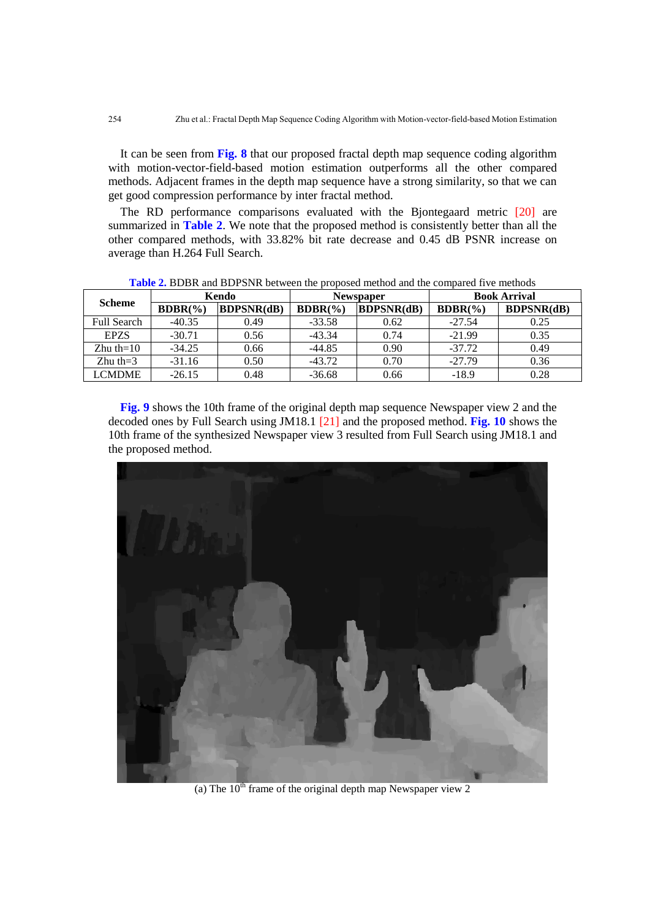It can be seen from **Fig. 8** that our proposed fractal depth map sequence coding algorithm with motion-vector-field-based motion estimation outperforms all the other compared methods. Adjacent frames in the depth map sequence have a strong similarity, so that we can get good compression performance by inter fractal method.

The RD performance comparisons evaluated with the Bjontegaard metric [20] are summarized in **Table 2**. We note that the proposed method is consistently better than all the other compared methods, with 33.82% bit rate decrease and 0.45 dB PSNR increase on average than H.264 Full Search.

| <b>Scheme</b>      | Kendo       |                   | Newspaper   |                   | <b>Book Arrival</b> |                   |
|--------------------|-------------|-------------------|-------------|-------------------|---------------------|-------------------|
|                    | $BDBR(\% )$ | <b>BDPSNR(dB)</b> | $BDBR(\% )$ | <b>BDPSNR(dB)</b> | $BDBR(\% )$         | <b>BDPSNR(dB)</b> |
| <b>Full Search</b> | $-40.35$    | 0.49              | $-33.58$    | 0.62              | $-27.54$            | 0.25              |
| <b>EPZS</b>        | $-30.71$    | 0.56              | $-43.34$    | 0.74              | $-21.99$            | 0.35              |
| $Z$ hu th=10       | $-34.25$    | 0.66              | $-44.85$    | 0.90              | $-37.72$            | 0.49              |
| $Z$ hu th=3        | $-31.16$    | 0.50              | $-43.72$    | 0.70              | $-27.79$            | 0.36              |
| <b>LCMDME</b>      | $-26.15$    | 0.48              | $-36.68$    | 0.66              | $-18.9$             | 0.28              |

**Table 2.** BDBR and BDPSNR between the proposed method and the compared five methods

**Fig. 9** shows the 10th frame of the original depth map sequence Newspaper view 2 and the decoded ones by Full Search using JM18.1 [21] and the proposed method. **Fig. 10** shows the 10th frame of the synthesized Newspaper view 3 resulted from Full Search using JM18.1 and the proposed method.



(a) The  $10^{th}$  frame of the original depth map Newspaper view 2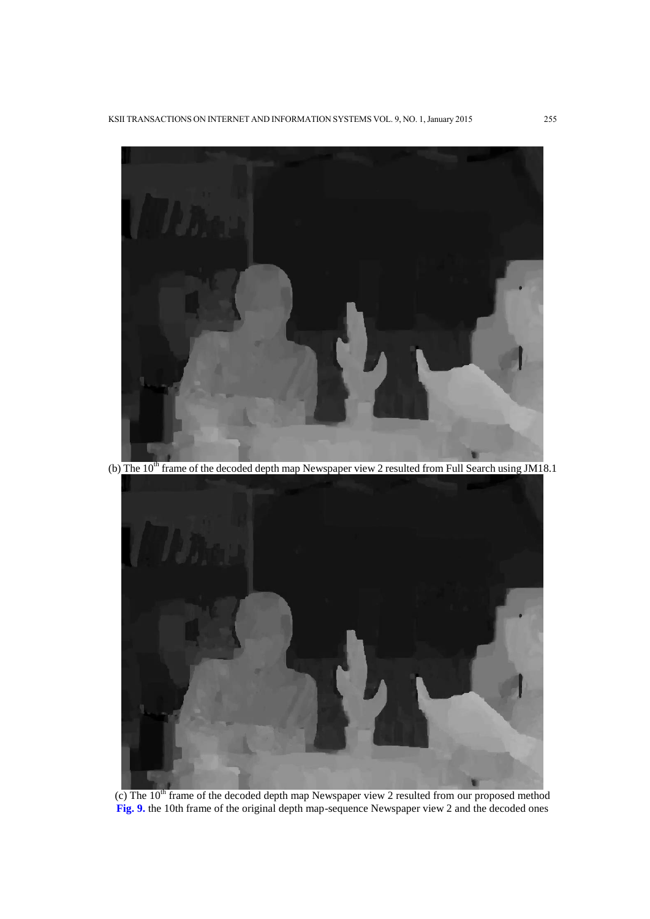

 $\overline{\text{c}}$ ) The 10<sup>th</sup> frame of the decoded depth map Newspaper view 2 resulted from our proposed method **Fig. 9.** the 10th frame of the original depth map-sequence Newspaper view 2 and the decoded ones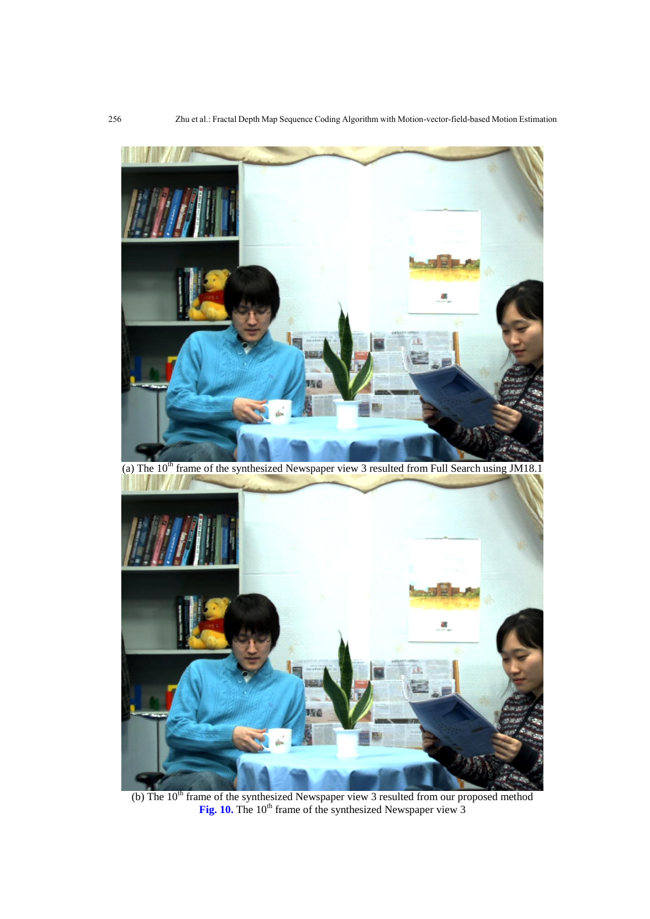

(a) The  $10<sup>th</sup>$  frame of the synthesized Newspaper view 3 resulted from Full Search using JM18.1



(b) The  $10<sup>th</sup>$  frame of the synthesized Newspaper view 3 resulted from our proposed method Fig. 10. The 10<sup>th</sup> frame of the synthesized Newspaper view 3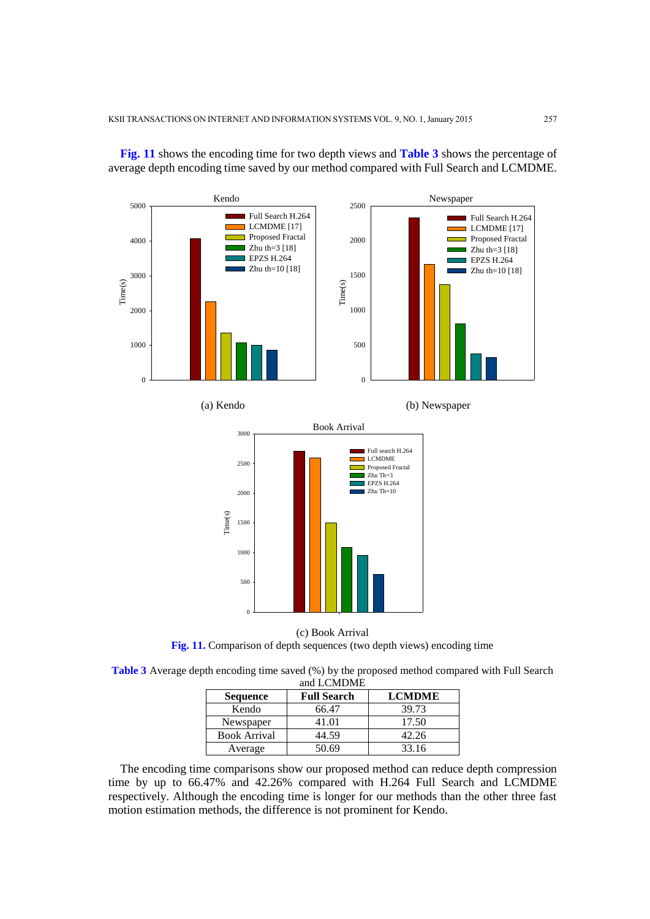

**Fig. 11** shows the encoding time for two depth views and **Table 3** shows the percentage of average depth encoding time saved by our method compared with Full Search and LCMDME.

**Fig. 11.** Comparison of depth sequences (two depth views) encoding time

| <b>Table 3</b> Average depth encoding time saved (%) by the proposed method compared with Full Search |
|-------------------------------------------------------------------------------------------------------|
| and LCMDME                                                                                            |

| <b>Sequence</b>     | <b>Full Search</b> | <b>LCMDME</b> |  |
|---------------------|--------------------|---------------|--|
| Kendo               | 66.47              | 39.73         |  |
| Newspaper           | 41.01              | 17.50         |  |
| <b>Book Arrival</b> | 44.59              | 42.26         |  |
| Average             | 50.69              | 33.16         |  |

The encoding time comparisons show our proposed method can reduce depth compression time by up to 66.47% and 42.26% compared with H.264 Full Search and LCMDME respectively. Although the encoding time is longer for our methods than the other three fast motion estimation methods, the difference is not prominent for Kendo.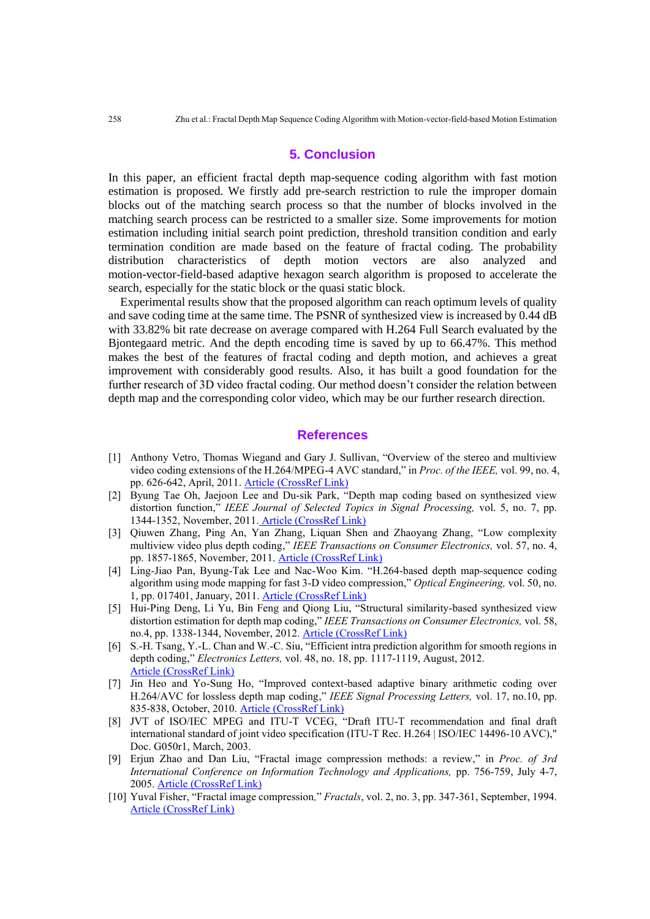## **5. Conclusion**

In this paper, an efficient fractal depth map-sequence coding algorithm with fast motion estimation is proposed. We firstly add pre-search restriction to rule the improper domain blocks out of the matching search process so that the number of blocks involved in the matching search process can be restricted to a smaller size. Some improvements for motion estimation including initial search point prediction, threshold transition condition and early termination condition are made based on the feature of fractal coding. The probability distribution characteristics of depth motion vectors are also analyzed and motion-vector-field-based adaptive hexagon search algorithm is proposed to accelerate the search, especially for the static block or the quasi static block.

Experimental results show that the proposed algorithm can reach optimum levels of quality and save coding time at the same time. The PSNR of synthesized view is increased by 0.44 dB with 33.82% bit rate decrease on average compared with H.264 Full Search evaluated by the Bjontegaard metric. And the depth encoding time is saved by up to 66.47%. This method makes the best of the features of fractal coding and depth motion, and achieves a great improvement with considerably good results. Also, it has built a good foundation for the further research of 3D video fractal coding. Our method doesn't consider the relation between depth map and the corresponding color video, which may be our further research direction.

## **References**

- [1] Anthony Vetro, Thomas Wiegand and Gary J. Sullivan, "Overview of the stereo and multiview video coding extensions of the H.264/MPEG-4 AVC standard," in *Proc. of the IEEE,* vol. 99, no. 4, pp. 626-642, April, 2011. [Article \(CrossRef Link\)](http://dx.doi.org/10.1109/JPROC.2010.2098830)
- [2] Byung Tae Oh, Jaejoon Lee and Du-sik Park, "Depth map coding based on synthesized view distortion function," *IEEE Journal of Selected Topics in Signal Processing,* vol. 5, no. 7, pp. 1344-1352, November, 2011. [Article \(CrossRef Link\)](http://dx.doi.org/10.1109/JSTSP.2011.2164893)
- [3] Qiuwen Zhang, Ping An, Yan Zhang, Liquan Shen and Zhaoyang Zhang, "Low complexity multiview video plus depth coding," *IEEE Transactions on Consumer Electronics,* vol. 57, no. 4, pp. 1857-1865, November, 2011. [Article \(CrossRef Link\)](http://dx.doi.org/10.1109/TCE.2011.6131164)
- [4] Ling-Jiao Pan, Byung-Tak Lee and Nac-Woo Kim. "H.264-based depth map-sequence coding algorithm using mode mapping for fast 3-D video compression," *Optical Engineering,* vol. 50, no. 1, pp. 017401, January, 2011. [Article \(CrossRef Link\)](http://dx.doi.org/10.1117/1.3533026)
- [5] Hui-Ping Deng, Li Yu, Bin Feng and Qiong Liu, "Structural similarity-based synthesized view distortion estimation for depth map coding," *IEEE Transactions on Consumer Electronics,* vol. 58, no.4, pp. 1338-1344, November, 2012. [Article \(CrossRef Link\)](http://dx.doi.org/10.1109/TCE.2012.6415004)
- [6] S.-H. Tsang, Y.-L. Chan and W.-C. Siu, "Efficient intra prediction algorithm for smooth regions in depth coding," *Electronics Letters,* vol. 48, no. 18, pp. 1117-1119, August, 2012. [Article \(CrossRef Link\)](http://dx.doi.org/10.1049/el.2012.1768)
- [7] Jin Heo and Yo-Sung Ho, "Improved context-based adaptive binary arithmetic coding over H.264/AVC for lossless depth map coding," *IEEE Signal Processing Letters,* vol. 17, no.10, pp. 835-838, October, 2010. [Article \(CrossRef Link\)](http://dx.doi.org/10.1109/LSP.2010.2059014)
- [8] JVT of ISO/IEC MPEG and ITU-T VCEG, "Draft ITU-T recommendation and final draft international standard of joint video specification (ITU-T Rec. H.264 | ISO/IEC 14496-10 AVC)," Doc. G050r1, March, 2003.
- [9] Erjun Zhao and Dan Liu, "Fractal image compression methods: a review," in *Proc. of 3rd International Conference on Information Technology and Applications,* pp. 756-759, July 4-7, 2005. [Article \(CrossRef Link\)](http://dx.doi.org/10.1109/ICITA.2005.150)
- [10] Yuval Fisher, "Fractal image compression*,*" *Fractals*, vol. 2, no. 3, pp. 347-361, September, 1994. [Article \(CrossRef Link\)](http://dx.doi.org/10.1142/S0218348X94000442)